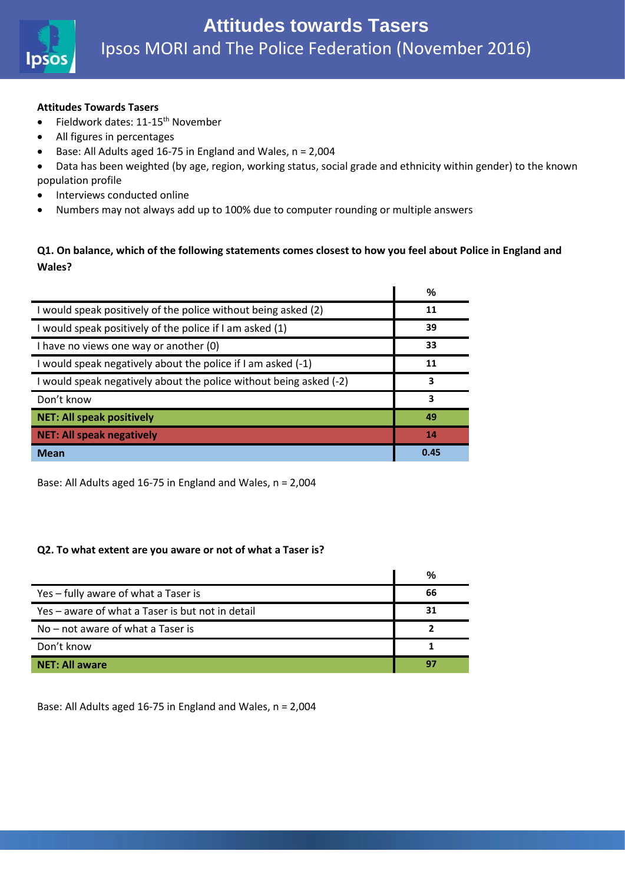

#### **Attitudes Towards Tasers**

- Fieldwork dates: 11-15<sup>th</sup> November
- All figures in percentages
- Base: All Adults aged 16-75 in England and Wales, n = 2,004
- Data has been weighted (by age, region, working status, social grade and ethnicity within gender) to the known population profile
- Interviews conducted online
- Numbers may not always add up to 100% due to computer rounding or multiple answers

### **Q1. On balance, which of the following statements comes closest to how you feel about Police in England and Wales?**

|                                                                    | %    |
|--------------------------------------------------------------------|------|
| I would speak positively of the police without being asked (2)     | 11   |
| I would speak positively of the police if I am asked (1)           | 39   |
| I have no views one way or another (0)                             | 33   |
| I would speak negatively about the police if I am asked (-1)       | 11   |
| I would speak negatively about the police without being asked (-2) | 3    |
| Don't know                                                         | 3    |
| <b>NET: All speak positively</b>                                   | 49   |
| <b>NET: All speak negatively</b>                                   | 14   |
| <b>Mean</b>                                                        | 0.45 |

Base: All Adults aged 16-75 in England and Wales, n = 2,004

#### **Q2. To what extent are you aware or not of what a Taser is?**

|                                                  | %  |
|--------------------------------------------------|----|
| Yes - fully aware of what a Taser is             | 66 |
| Yes - aware of what a Taser is but not in detail | 31 |
| No – not aware of what a Taser is                |    |
| Don't know                                       |    |
| <b>NET: All aware</b>                            | 9. |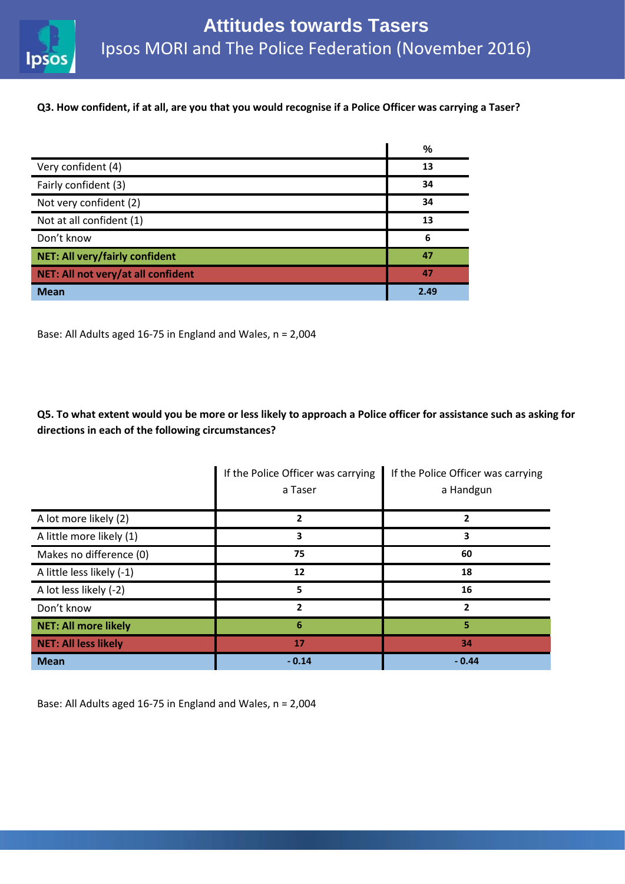

#### **Q3. How confident, if at all, are you that you would recognise if a Police Officer was carrying a Taser?**

|                                       | %    |
|---------------------------------------|------|
| Very confident (4)                    | 13   |
| Fairly confident (3)                  | 34   |
| Not very confident (2)                | 34   |
| Not at all confident (1)              | 13   |
| Don't know                            | 6    |
| <b>NET: All very/fairly confident</b> | 47   |
| NET: All not very/at all confident    | 47   |
| <b>Mean</b>                           | 2.49 |

Base: All Adults aged 16-75 in England and Wales, n = 2,004

**Q5. To what extent would you be more or less likely to approach a Police officer for assistance such as asking for directions in each of the following circumstances?**

|                             | If the Police Officer was carrying<br>a Taser | If the Police Officer was carrying<br>a Handgun |
|-----------------------------|-----------------------------------------------|-------------------------------------------------|
| A lot more likely (2)       | 2                                             | 2                                               |
| A little more likely (1)    | 3                                             | 3                                               |
| Makes no difference (0)     | 75                                            | 60                                              |
| A little less likely (-1)   | 12                                            | 18                                              |
| A lot less likely (-2)      | 5                                             | 16                                              |
| Don't know                  | $\overline{\phantom{a}}$                      | $\overline{2}$                                  |
| <b>NET: All more likely</b> | 6                                             | 5                                               |
| <b>NET: All less likely</b> | 17                                            | 34                                              |
| <b>Mean</b>                 | $-0.14$                                       | $-0.44$                                         |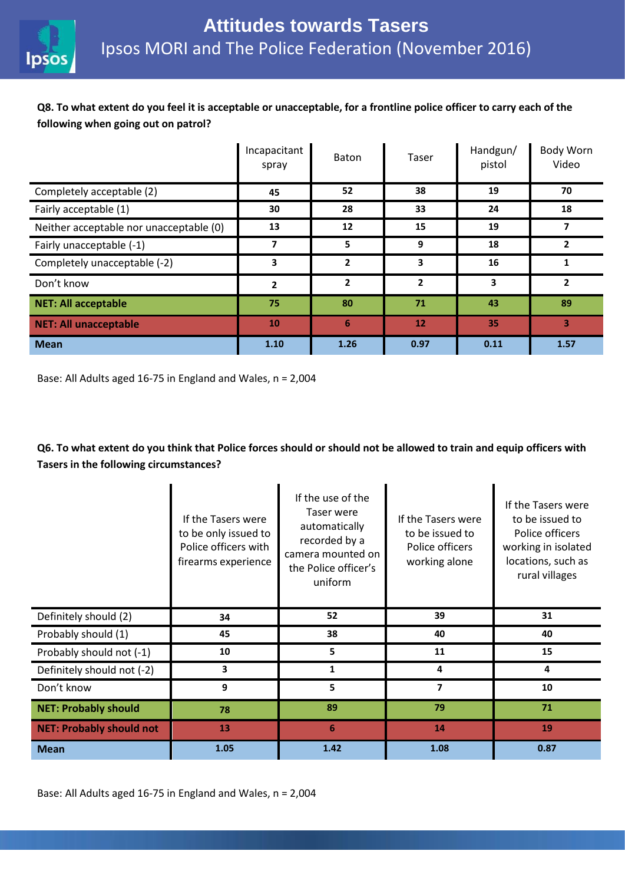

# **Q8. To what extent do you feel it is acceptable or unacceptable, for a frontline police officer to carry each of the following when going out on patrol?**

|                                         | Incapacitant<br>spray | <b>Baton</b> | Taser          | Handgun/<br>pistol | Body Worn<br>Video       |
|-----------------------------------------|-----------------------|--------------|----------------|--------------------|--------------------------|
| Completely acceptable (2)               | 45                    | 52           | 38             | 19                 | 70                       |
| Fairly acceptable (1)                   | 30                    | 28           | 33             | 24                 | 18                       |
| Neither acceptable nor unacceptable (0) | 13                    | 12           | 15             | 19                 | 7                        |
| Fairly unacceptable (-1)                | 7                     | 5            | 9              | 18                 | $\overline{\phantom{a}}$ |
| Completely unacceptable (-2)            | 3                     | $\mathbf{2}$ | 3              | 16                 |                          |
| Don't know                              | $\mathbf{2}$          | $\mathbf{2}$ | $\overline{2}$ | 3                  | $\overline{2}$           |
| <b>NET: All acceptable</b>              | 75                    | 80           | 71             | 43                 | 89                       |
| <b>NET: All unacceptable</b>            | 10                    | 6            | 12             | 35                 | $\overline{\mathbf{3}}$  |
| <b>Mean</b>                             | 1.10                  | 1.26         | 0.97           | 0.11               | 1.57                     |

Base: All Adults aged 16-75 in England and Wales, n = 2,004

## **Q6. To what extent do you think that Police forces should or should not be allowed to train and equip officers with Tasers in the following circumstances?**

|                                 | If the Tasers were<br>to be only issued to<br>Police officers with<br>firearms experience | If the use of the<br>Taser were<br>automatically<br>recorded by a<br>camera mounted on<br>the Police officer's<br>uniform | If the Tasers were<br>to be issued to<br>Police officers<br>working alone | If the Tasers were<br>to be issued to<br>Police officers<br>working in isolated<br>locations, such as<br>rural villages |
|---------------------------------|-------------------------------------------------------------------------------------------|---------------------------------------------------------------------------------------------------------------------------|---------------------------------------------------------------------------|-------------------------------------------------------------------------------------------------------------------------|
| Definitely should (2)           | 34                                                                                        | 52                                                                                                                        | 39                                                                        | 31                                                                                                                      |
| Probably should (1)             | 45                                                                                        | 38                                                                                                                        | 40                                                                        | 40                                                                                                                      |
| Probably should not (-1)        | 10                                                                                        | 5                                                                                                                         | 11                                                                        | 15                                                                                                                      |
| Definitely should not (-2)      | 3                                                                                         | 1                                                                                                                         | 4                                                                         | 4                                                                                                                       |
| Don't know                      | 9                                                                                         | 5                                                                                                                         | 7                                                                         | 10                                                                                                                      |
| <b>NET: Probably should</b>     | 78                                                                                        | 89                                                                                                                        | 79                                                                        | 71                                                                                                                      |
| <b>NET: Probably should not</b> | 13                                                                                        | 6                                                                                                                         | 14                                                                        | 19                                                                                                                      |
| <b>Mean</b>                     | 1.05                                                                                      | 1.42                                                                                                                      | 1.08                                                                      | 0.87                                                                                                                    |